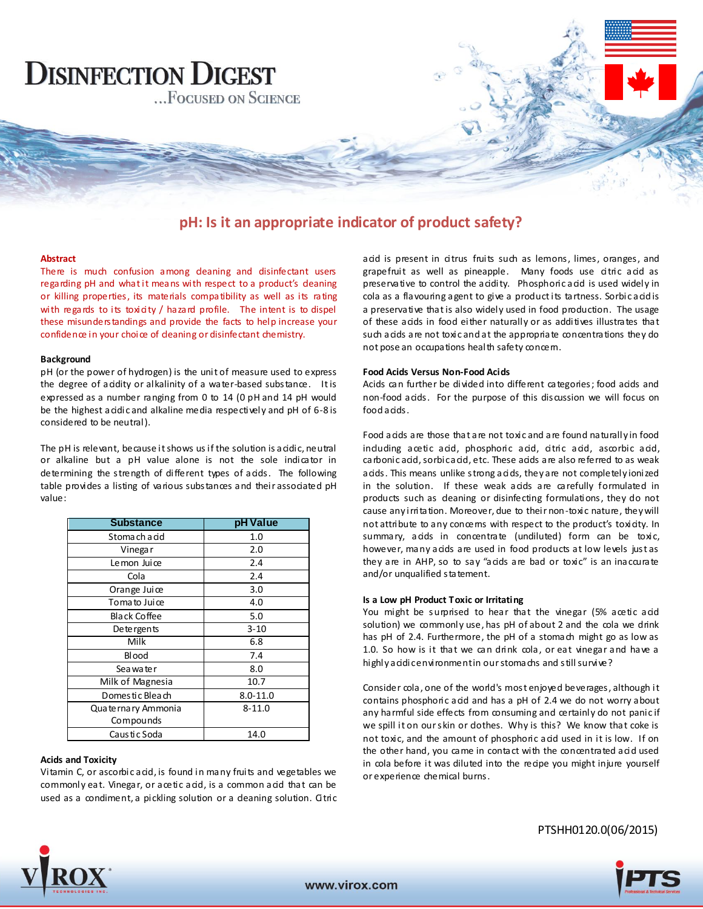

## **pH: Is it an appropriate indicator of product safety?**

#### **Abstract**

There is much confusion among deaning and disinfectant users regarding pH and what it means with respect to a product's deaning or killing properties, its materials compatibility as well as its rating with regards to its toxicity / hazard profile. The intent is to dispel these misunderstandings and provide the facts to help increase your confidence in your choice of deaning or disinfectant chemistry.

#### **Background**

pH (or the power of hydrogen) is the unit of measure used to express the degree of acidity or alkalinity of a water-based substance. It is expressed as a number ranging from 0 to 14 (0 pH and 14 pH would be the highest acidic and alkaline media respectively and pH of 6-8 is considered to be neutral).

The pH is relevant, because it shows us if the solution is acidic, neutral or alkaline but a pH value alone is not the sole indicator in determining the strength of different types of acids. The following table provides a listing of various substances and their associated pH value:

| <b>Substance</b>      | pH Value     |
|-----------------------|--------------|
| Stomach a cid         | 1.0          |
| Vinega r              | 2.0          |
| Lemon Juice           | 2.4          |
| Cola                  | 2.4          |
| Orange Juice          | 3.0          |
| Toma to Juice         | 4.0          |
| <b>Black Coffee</b>   | 5.0          |
| De te rgents          | $3 - 10$     |
| Milk                  | 6.8          |
| Blood                 | 7.4          |
| Sea wa te r           | 8.0          |
| Milk of Magnesia      | 10.7         |
| Domestic Bleach       | $8.0 - 11.0$ |
| Qua te rna ry Ammonia | $8 - 11.0$   |
| Compounds             |              |
| Caus ti c Soda        | 14.0         |

#### **Acids and Toxicity**

Vitamin C, or ascorbic acid, is found in many fruits and vegetables we commonly eat. Vinegar, or acetic acid, is a common acid that can be used as a condiment, a pickling solution or a deaning solution. Citric acid is present in citrus fruits such as lemons, limes, oranges, and grapefruit as well as pineapple. Many foods use citric acid as preservative to control the acidity. Phosphoric acid is used widely in cola as a flavouring agent to give a product its tartness. Sorbic acid is a preservative that is also widely used in food production. The usage of these acids in food either naturally or as additives illustrates that such acids are not toxic and at the appropriate concentrations they do not pose an occupations health safety concern.

#### **Food Acids Versus Non-Food Acids**

Acids can further be divided into different categories; food acids and non-food acids. For the purpose of this discussion we will focus on food a cids.

Food acids are those that are not toxic and are found naturally in food induding acetic acid, phosphoric acid, citric acid, ascorbic acid, carbonic acid, sorbic acid, etc. These acids are also referred to as weak acids. This means unlike strong acids, they are not completely ionized in the solution. If these weak acids are carefully formulated in products such as cleaning or disinfecting formulations, they do not cause any irritation. Moreover, due to their non-toxic nature, they will not attribute to any concems with respect to the product's toxicity. In summary, acids in concentrate (undiluted) form can be toxic, however, many acids are used in food products at low levels just as they are in AHP, so to say "acids are bad or toxic" is an inaccurate and/or unqualified statement.

#### **Is a Low pH Product Toxic or Irritating**

You might be surprised to hear that the vinegar (5% acetic acid solution) we commonly use, has pH of about 2 and the cola we drink has pH of 2.4. Furthermore, the pH of a stomach might go as low as 1.0. So how is it that we can drink cola, or eat vinegar and have a highly a cidic environment in our stomachs and still survive?

Consider cola, one of the world's most enjoyed beverages, although it contains phosphoric acid and has a pH of 2.4 we do not worry about any harmful side effects from consuming and certainly do not panic if we spill it on our skin or dothes. Why is this? We know that coke is not toxic, and the amount of phosphoric acid used in it is low. If on the other hand, you came in contact with the concentrated acid used in cola before it was diluted into the recipe you might injure yourself or experience chemical burns.